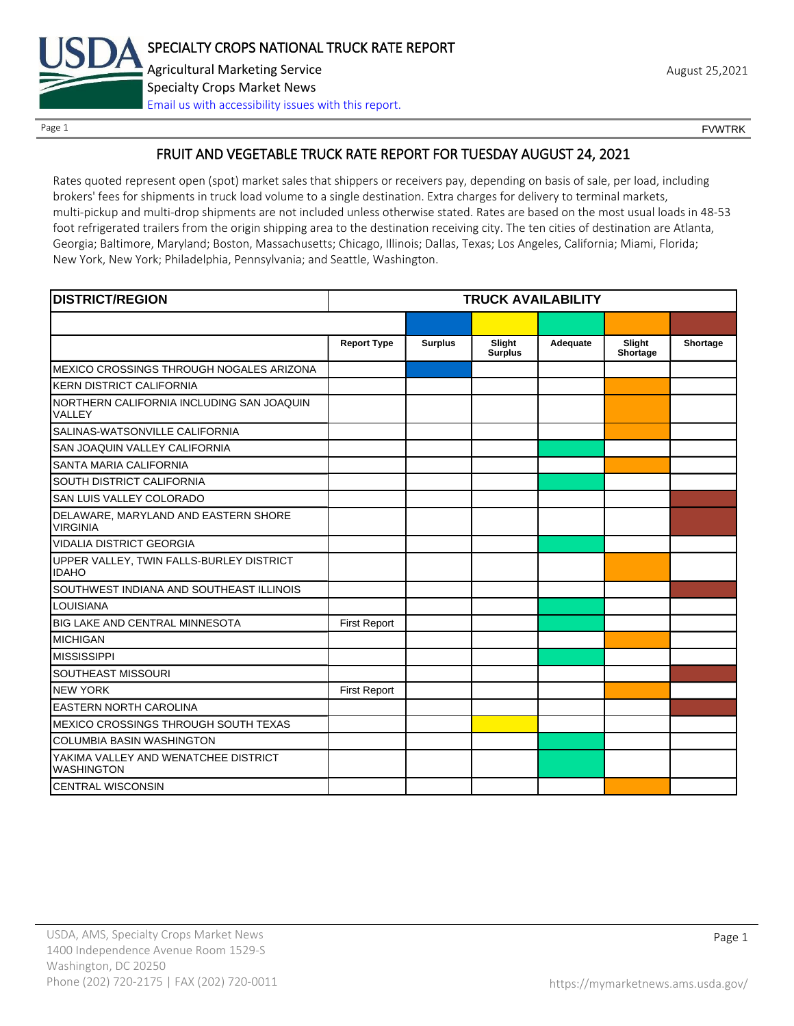

Page 1 FOUNTRK CONTROL CONTROL CONTROL CONTROL CONTROL CONTROL CONTROL CONTROL CONTROL CONTROL CONTROL CONTROL CONTROL CONTROL CONTROL CONTROL CONTROL CONTROL CONTROL CONTROL CONTROL CONTROL CONTROL CONTROL CONTROL CONTROL

### FRUIT AND VEGETABLE TRUCK RATE REPORT FOR TUESDAY AUGUST 24, 2021

Rates quoted represent open (spot) market sales that shippers or receivers pay, depending on basis of sale, per load, including brokers' fees for shipments in truck load volume to a single destination. Extra charges for delivery to terminal markets, multi-pickup and multi-drop shipments are not included unless otherwise stated. Rates are based on the most usual loads in 48-53 foot refrigerated trailers from the origin shipping area to the destination receiving city. The ten cities of destination are Atlanta, Georgia; Baltimore, Maryland; Boston, Massachusetts; Chicago, Illinois; Dallas, Texas; Los Angeles, California; Miami, Florida; New York, New York; Philadelphia, Pennsylvania; and Seattle, Washington.

| <b>DISTRICT/REGION</b>                                    | <b>TRUCK AVAILABILITY</b> |                |                          |          |                    |          |
|-----------------------------------------------------------|---------------------------|----------------|--------------------------|----------|--------------------|----------|
|                                                           |                           |                |                          |          |                    |          |
|                                                           | <b>Report Type</b>        | <b>Surplus</b> | Slight<br><b>Surplus</b> | Adequate | Slight<br>Shortage | Shortage |
| MEXICO CROSSINGS THROUGH NOGALES ARIZONA                  |                           |                |                          |          |                    |          |
| <b>KERN DISTRICT CALIFORNIA</b>                           |                           |                |                          |          |                    |          |
| NORTHERN CALIFORNIA INCLUDING SAN JOAQUIN<br>VALLEY       |                           |                |                          |          |                    |          |
| SALINAS-WATSONVILLE CALIFORNIA                            |                           |                |                          |          |                    |          |
| SAN JOAQUIN VALLEY CALIFORNIA                             |                           |                |                          |          |                    |          |
| SANTA MARIA CALIFORNIA                                    |                           |                |                          |          |                    |          |
| SOUTH DISTRICT CALIFORNIA                                 |                           |                |                          |          |                    |          |
| SAN LUIS VALLEY COLORADO                                  |                           |                |                          |          |                    |          |
| DELAWARE, MARYLAND AND EASTERN SHORE<br><b>VIRGINIA</b>   |                           |                |                          |          |                    |          |
| <b>VIDALIA DISTRICT GEORGIA</b>                           |                           |                |                          |          |                    |          |
| UPPER VALLEY, TWIN FALLS-BURLEY DISTRICT<br><b>IDAHO</b>  |                           |                |                          |          |                    |          |
| SOUTHWEST INDIANA AND SOUTHEAST ILLINOIS                  |                           |                |                          |          |                    |          |
| <b>LOUISIANA</b>                                          |                           |                |                          |          |                    |          |
| <b>BIG LAKE AND CENTRAL MINNESOTA</b>                     | <b>First Report</b>       |                |                          |          |                    |          |
| <b>MICHIGAN</b>                                           |                           |                |                          |          |                    |          |
| <b>MISSISSIPPI</b>                                        |                           |                |                          |          |                    |          |
| SOUTHEAST MISSOURI                                        |                           |                |                          |          |                    |          |
| <b>NEW YORK</b>                                           | <b>First Report</b>       |                |                          |          |                    |          |
| <b>EASTERN NORTH CAROLINA</b>                             |                           |                |                          |          |                    |          |
| MEXICO CROSSINGS THROUGH SOUTH TEXAS                      |                           |                |                          |          |                    |          |
| <b>COLUMBIA BASIN WASHINGTON</b>                          |                           |                |                          |          |                    |          |
| YAKIMA VALLEY AND WENATCHEE DISTRICT<br><b>WASHINGTON</b> |                           |                |                          |          |                    |          |
| <b>CENTRAL WISCONSIN</b>                                  |                           |                |                          |          |                    |          |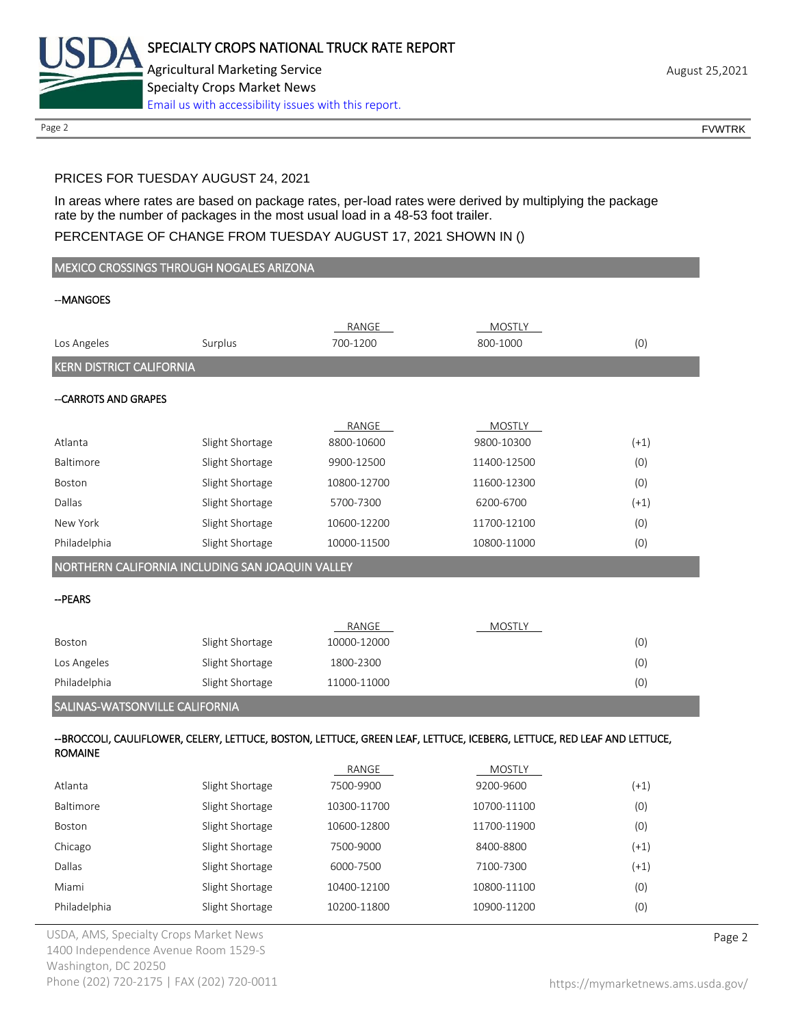

Page 2 FOUNTRK CONTROL CONTROL CONTROL CONTROL CONTROL CONTROL CONTROL CONTROL CONTROL CONTROL CONTROL CONTROL CONTROL CONTROL CONTROL CONTROL CONTROL CONTROL CONTROL CONTROL CONTROL CONTROL CONTROL CONTROL CONTROL CONTROL

### PRICES FOR TUESDAY AUGUST 24, 2021

In areas where rates are based on package rates, per-load rates were derived by multiplying the package rate by the number of packages in the most usual load in a 48-53 foot trailer.

### PERCENTAGE OF CHANGE FROM TUESDAY AUGUST 17, 2021 SHOWN IN ()

|                                 | MEXICO CROSSINGS THROUGH NOGALES ARIZONA         |             |                                                                                                                         |        |
|---------------------------------|--------------------------------------------------|-------------|-------------------------------------------------------------------------------------------------------------------------|--------|
| --MANGOES                       |                                                  |             |                                                                                                                         |        |
|                                 |                                                  |             |                                                                                                                         |        |
|                                 |                                                  | RANGE       | MOSTLY                                                                                                                  |        |
| Los Angeles                     | Surplus                                          | 700-1200    | 800-1000                                                                                                                | (0)    |
| <b>KERN DISTRICT CALIFORNIA</b> |                                                  |             |                                                                                                                         |        |
| --CARROTS AND GRAPES            |                                                  |             |                                                                                                                         |        |
|                                 |                                                  | RANGE       | MOSTLY                                                                                                                  |        |
| Atlanta                         | Slight Shortage                                  | 8800-10600  | 9800-10300                                                                                                              | $(+1)$ |
| Baltimore                       | Slight Shortage                                  | 9900-12500  | 11400-12500                                                                                                             | (0)    |
| Boston                          | Slight Shortage                                  | 10800-12700 | 11600-12300                                                                                                             | (0)    |
| Dallas                          | Slight Shortage                                  | 5700-7300   | 6200-6700                                                                                                               | $(+1)$ |
| New York                        | Slight Shortage                                  | 10600-12200 | 11700-12100                                                                                                             | (0)    |
| Philadelphia                    | Slight Shortage                                  | 10000-11500 | 10800-11000                                                                                                             | (0)    |
|                                 | NORTHERN CALIFORNIA INCLUDING SAN JOAQUIN VALLEY |             |                                                                                                                         |        |
|                                 |                                                  |             |                                                                                                                         |        |
| --PEARS                         |                                                  |             |                                                                                                                         |        |
|                                 |                                                  | RANGE       | MOSTLY                                                                                                                  |        |
| Boston                          | Slight Shortage                                  | 10000-12000 |                                                                                                                         | (0)    |
| Los Angeles                     | Slight Shortage                                  | 1800-2300   |                                                                                                                         | (0)    |
| Philadelphia                    | Slight Shortage                                  | 11000-11000 |                                                                                                                         | (0)    |
| SALINAS-WATSONVILLE CALIFORNIA  |                                                  |             |                                                                                                                         |        |
|                                 |                                                  |             |                                                                                                                         |        |
| <b>ROMAINE</b>                  |                                                  |             | --BROCCOLI, CAULIFLOWER, CELERY, LETTUCE, BOSTON, LETTUCE, GREEN LEAF, LETTUCE, ICEBERG, LETTUCE, RED LEAF AND LETTUCE, |        |
|                                 |                                                  | RANGE       | <b>MOSTLY</b>                                                                                                           |        |
| Atlanta                         | Slight Shortage                                  | 7500-9900   | 9200-9600                                                                                                               | $(+1)$ |
| Baltimore                       | Slight Shortage                                  | 10300-11700 | 10700-11100                                                                                                             | (0)    |
| Boston                          | Slight Shortage                                  | 10600-12800 | 11700-11900                                                                                                             | (0)    |
| Chicago                         | Slight Shortage                                  | 7500-9000   | 8400-8800                                                                                                               | $(+1)$ |
| Dallas                          | Slight Shortage                                  | 6000-7500   | 7100-7300                                                                                                               | $(+1)$ |
| Miami                           | Slight Shortage                                  | 10400-12100 | 10800-11100                                                                                                             | (0)    |

Philadelphia Slight Shortage 10200-11800 10900-11200 (0)

USDA, AMS, Specialty Crops Market News **Page 2** 1400 Independence Avenue Room 1529-S Washington, DC 20250 Phone (202) 720-2175 | FAX (202) 720-0011 <https://mymarketnews.ams.usda.gov/>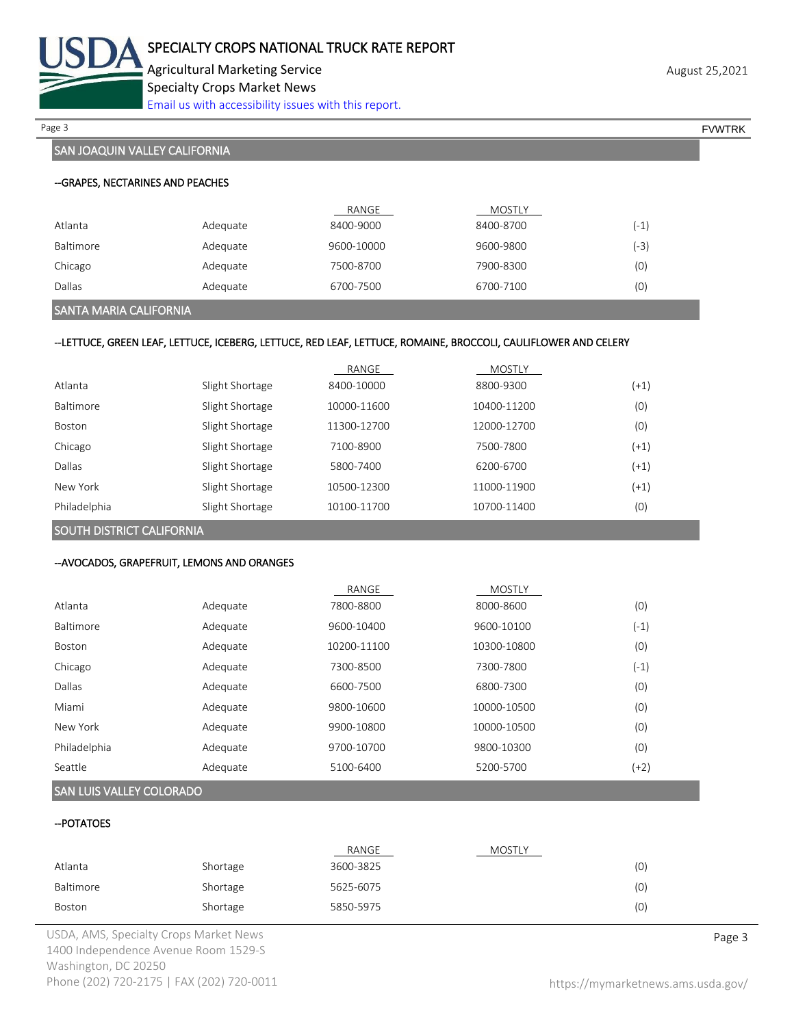

Agricultural Marketing Service **August 25,2021** August 25,2021 Specialty Crops Market News [Email us with accessibility issues with this report.](mailto:mars@ams.usda.gov?subject=508%20Inquiry/Report)

Page 3 FOUNTRK And the set of the set of the set of the set of the set of the set of the set of the set of the set of the set of the set of the set of the set of the set of the set of the set of the set of the set of the s

### SAN JOAQUIN VALLEY CALIFORNIA

|           |          | RANGE      | <b>MOSTLY</b> |      |
|-----------|----------|------------|---------------|------|
| Atlanta   | Adequate | 8400-9000  | 8400-8700     | (-1' |
| Baltimore | Adequate | 9600-10000 | 9600-9800     | (-3) |
| Chicago   | Adequate | 7500-8700  | 7900-8300     | (0)  |
| Dallas    | Adequate | 6700-7500  | 6700-7100     | (0)  |

### SANTA MARIA CALIFORNIA

### --LETTUCE, GREEN LEAF, LETTUCE, ICEBERG, LETTUCE, RED LEAF, LETTUCE, ROMAINE, BROCCOLI, CAULIFLOWER AND CELERY

|                  |                 | RANGE       | <b>MOSTLY</b> |        |
|------------------|-----------------|-------------|---------------|--------|
| Atlanta          | Slight Shortage | 8400-10000  | 8800-9300     | $(+1)$ |
| <b>Baltimore</b> | Slight Shortage | 10000-11600 | 10400-11200   | (0)    |
| <b>Boston</b>    | Slight Shortage | 11300-12700 | 12000-12700   | (0)    |
| Chicago          | Slight Shortage | 7100-8900   | 7500-7800     | $(+1)$ |
| Dallas           | Slight Shortage | 5800-7400   | 6200-6700     | $(+1)$ |
| New York         | Slight Shortage | 10500-12300 | 11000-11900   | $(+1)$ |
| Philadelphia     | Slight Shortage | 10100-11700 | 10700-11400   | (0)    |

SOUTH DISTRICT CALIFORNIA

### --AVOCADOS, GRAPEFRUIT, LEMONS AND ORANGES

|               |          | RANGE       | <b>MOSTLY</b> |        |
|---------------|----------|-------------|---------------|--------|
| Atlanta       | Adequate | 7800-8800   | 8000-8600     | (0)    |
| Baltimore     | Adequate | 9600-10400  | 9600-10100    | (-1)   |
| <b>Boston</b> | Adequate | 10200-11100 | 10300-10800   | (0)    |
| Chicago       | Adequate | 7300-8500   | 7300-7800     | (-1)   |
| Dallas        | Adequate | 6600-7500   | 6800-7300     | (0)    |
| Miami         | Adequate | 9800-10600  | 10000-10500   | (0)    |
| New York      | Adequate | 9900-10800  | 10000-10500   | (0)    |
| Philadelphia  | Adequate | 9700-10700  | 9800-10300    | (0)    |
| Seattle       | Adequate | 5100-6400   | 5200-5700     | $(+2)$ |

### SAN LUIS VALLEY COLORADO

### --POTATOES

|           |          | RANGE     | MOSTLY |     |
|-----------|----------|-----------|--------|-----|
| Atlanta   | Shortage | 3600-3825 |        | (0) |
| Baltimore | Shortage | 5625-6075 |        | (0) |
| Boston    | Shortage | 5850-5975 |        | (0) |

USDA, AMS, Specialty Crops Market News **Page 3** 1400 Independence Avenue Room 1529-S Washington, DC 20250 Phone (202) 720-2175 | FAX (202) 720-0011 <https://mymarketnews.ams.usda.gov/>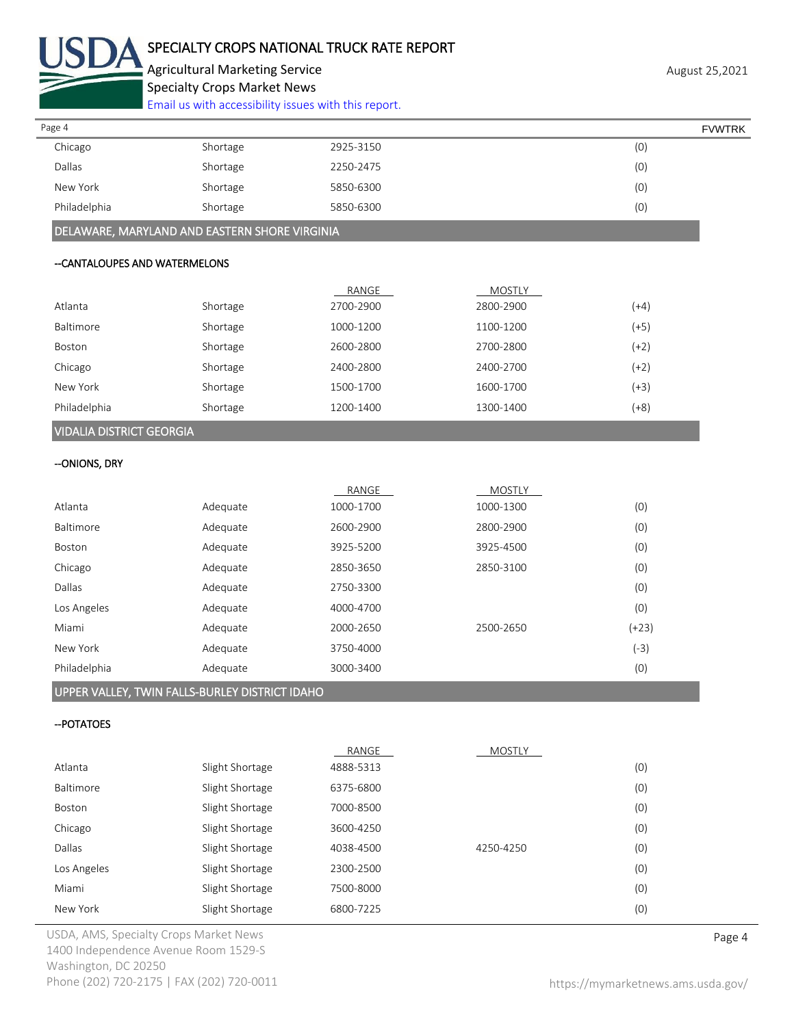

Agricultural Marketing Service **August 25,2021** August 25,2021 Specialty Crops Market News

[Email us with accessibility issues with this report.](mailto:mars@ams.usda.gov?subject=508%20Inquiry/Report)

| Page 4       |          |           | <b>FVWTRK</b> |
|--------------|----------|-----------|---------------|
| Chicago      | Shortage | 2925-3150 | (0)           |
| Dallas       | Shortage | 2250-2475 | (0)           |
| New York     | Shortage | 5850-6300 | (0)           |
| Philadelphia | Shortage | 5850-6300 | (0)           |

DELAWARE, MARYLAND AND EASTERN SHORE VIRGINIA

### --CANTALOUPES AND WATERMELONS

|                                 |          | RANGE     | <b>MOSTLY</b> |        |
|---------------------------------|----------|-----------|---------------|--------|
| Atlanta                         | Shortage | 2700-2900 | 2800-2900     | (+4)   |
| Baltimore                       | Shortage | 1000-1200 | 1100-1200     | (+5)   |
| Boston                          | Shortage | 2600-2800 | 2700-2800     | (+2)   |
| Chicago                         | Shortage | 2400-2800 | 2400-2700     | (+2)   |
| New York                        | Shortage | 1500-1700 | 1600-1700     | $(+3)$ |
| Philadelphia                    | Shortage | 1200-1400 | 1300-1400     | $(+8)$ |
| <b>VIDALIA DISTRICT GEORGIA</b> |          |           |               |        |

# --ONIONS, DRY

|          | RANGE     | <b>MOSTLY</b> |         |
|----------|-----------|---------------|---------|
| Adequate | 1000-1700 | 1000-1300     | (0)     |
| Adequate | 2600-2900 | 2800-2900     | (0)     |
| Adequate | 3925-5200 | 3925-4500     | (0)     |
| Adequate | 2850-3650 | 2850-3100     | (0)     |
| Adequate | 2750-3300 |               | (0)     |
| Adequate |           |               | (0)     |
| Adequate | 2000-2650 | 2500-2650     | $(+23)$ |
| Adequate | 3750-4000 |               | $(-3)$  |
| Adequate | 3000-3400 |               | (0)     |
|          |           | 4000-4700     |         |

### UPPER VALLEY, TWIN FALLS-BURLEY DISTRICT IDAHO

### --POTATOES

|                  |                 | RANGE     | <b>MOSTLY</b> |     |
|------------------|-----------------|-----------|---------------|-----|
| Atlanta          | Slight Shortage | 4888-5313 |               | (0) |
| <b>Baltimore</b> | Slight Shortage | 6375-6800 |               | (0) |
| <b>Boston</b>    | Slight Shortage | 7000-8500 |               | (0) |
| Chicago          | Slight Shortage | 3600-4250 |               | (0) |
| Dallas           | Slight Shortage | 4038-4500 | 4250-4250     | (0) |
| Los Angeles      | Slight Shortage | 2300-2500 |               | (0) |
| Miami            | Slight Shortage | 7500-8000 |               | (0) |
| New York         | Slight Shortage | 6800-7225 |               | (0) |

USDA, AMS, Specialty Crops Market News **Page 4** 1400 Independence Avenue Room 1529-S Washington, DC 20250 Phone (202) 720-2175 | FAX (202) 720-0011 <https://mymarketnews.ams.usda.gov/>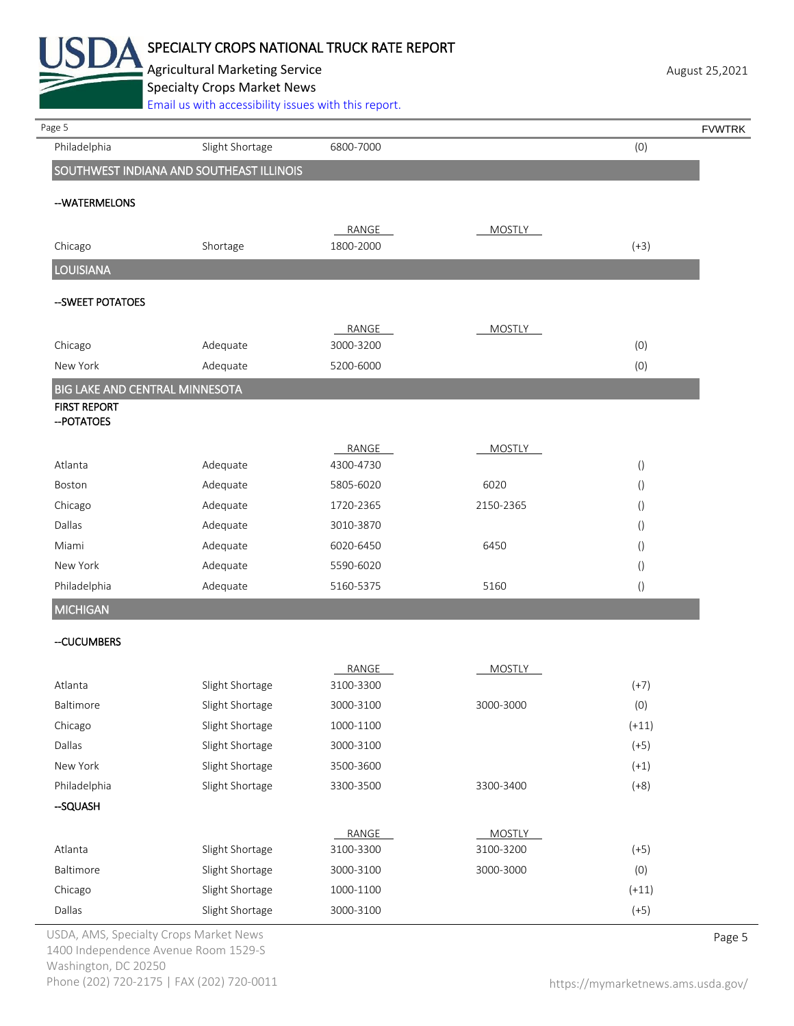

Agricultural Marketing Service **August 25,2021** August 25,2021 Specialty Crops Market News

[Email us with accessibility issues with this report.](mailto:mars@ams.usda.gov?subject=508%20Inquiry/Report)

| Page 5                                |                                          |                        |               |                                      | <b>FVWTRK</b> |
|---------------------------------------|------------------------------------------|------------------------|---------------|--------------------------------------|---------------|
| Philadelphia                          | Slight Shortage                          | 6800-7000              |               | (0)                                  |               |
|                                       | SOUTHWEST INDIANA AND SOUTHEAST ILLINOIS |                        |               |                                      |               |
| --WATERMELONS                         |                                          |                        |               |                                      |               |
|                                       |                                          | RANGE                  | <b>MOSTLY</b> |                                      |               |
| Chicago                               | Shortage                                 | 1800-2000              |               | $(+3)$                               |               |
| <b>LOUISIANA</b>                      |                                          |                        |               |                                      |               |
| -- SWEET POTATOES                     |                                          |                        |               |                                      |               |
|                                       |                                          | RANGE                  | <b>MOSTLY</b> |                                      |               |
| Chicago                               | Adequate                                 | 3000-3200              |               | (0)                                  |               |
| New York                              | Adequate                                 | 5200-6000              |               | (0)                                  |               |
| <b>BIG LAKE AND CENTRAL MINNESOTA</b> |                                          |                        |               |                                      |               |
| <b>FIRST REPORT</b><br>-- POTATOES    |                                          |                        |               |                                      |               |
|                                       |                                          |                        |               |                                      |               |
| Atlanta                               |                                          | RANGE                  | MOSTLY        |                                      |               |
| Boston                                | Adequate<br>Adequate                     | 4300-4730<br>5805-6020 | 6020          | $\left( \right)$                     |               |
|                                       |                                          | 1720-2365              | 2150-2365     | $\left( \right)$                     |               |
| Chicago<br>Dallas                     | Adequate<br>Adequate                     | 3010-3870              |               | $\left( \right)$                     |               |
| Miami                                 | Adequate                                 | 6020-6450              | 6450          | $\left( \right)$                     |               |
| New York                              | Adequate                                 | 5590-6020              |               | $\left( \right)$<br>$\left( \right)$ |               |
| Philadelphia                          | Adequate                                 | 5160-5375              | 5160          | $\left(\right)$                      |               |
| <b>MICHIGAN</b>                       |                                          |                        |               |                                      |               |
|                                       |                                          |                        |               |                                      |               |
| --CUCUMBERS                           |                                          |                        |               |                                      |               |
|                                       |                                          | RANGE                  | <b>MOSTLY</b> |                                      |               |
| Atlanta                               | Slight Shortage                          | 3100-3300              |               | $(+7)$                               |               |
| Baltimore                             | Slight Shortage                          | 3000-3100              | 3000-3000     | (0)                                  |               |
| Chicago                               | Slight Shortage                          | 1000-1100              |               | $(+11)$                              |               |
| Dallas                                | Slight Shortage                          | 3000-3100              |               | $(+5)$                               |               |
| New York                              | Slight Shortage                          | 3500-3600              |               | $(+1)$                               |               |
| Philadelphia                          | Slight Shortage                          | 3300-3500              | 3300-3400     | $(+8)$                               |               |
| --SQUASH                              |                                          |                        |               |                                      |               |
|                                       |                                          | RANGE                  | <b>MOSTLY</b> |                                      |               |
| Atlanta                               | Slight Shortage                          | 3100-3300              | 3100-3200     | $(+5)$                               |               |
| Baltimore                             | Slight Shortage                          | 3000-3100              | 3000-3000     | (0)                                  |               |
| Chicago                               | Slight Shortage                          | 1000-1100              |               | $(+11)$                              |               |
| Dallas                                | Slight Shortage                          | 3000-3100              |               | $(+5)$                               |               |

USDA, AMS, Specialty Crops Market News **Page 5** 1400 Independence Avenue Room 1529-S Washington, DC 20250 Phone (202) 720-2175 | FAX (202) 720-0011 <https://mymarketnews.ams.usda.gov/>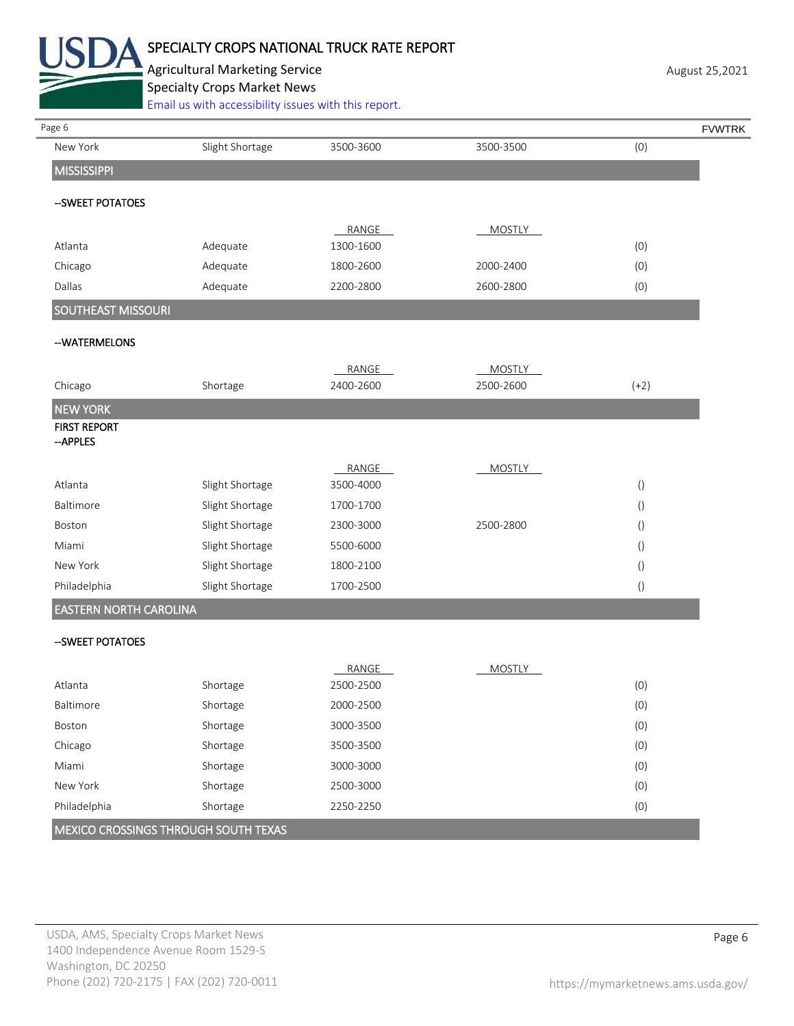

## SPECIALTY CROPS NATIONAL TRUCK RATE REPORT

Agricultural Marketing Service **August 25,2021** August 25,2021 Specialty Crops Market News

.<br>With accessibility issues with this report.

| Page 6                          |                 |           |               |                  | <b>FVWTRK</b> |
|---------------------------------|-----------------|-----------|---------------|------------------|---------------|
| New York                        | Slight Shortage | 3500-3600 | 3500-3500     | (0)              |               |
| <b>MISSISSIPPI</b>              |                 |           |               |                  |               |
| -- SWEET POTATOES               |                 |           |               |                  |               |
|                                 |                 | RANGE     | <b>MOSTLY</b> |                  |               |
| Atlanta                         | Adequate        | 1300-1600 |               | (0)              |               |
| Chicago                         | Adequate        | 1800-2600 | 2000-2400     | (0)              |               |
| Dallas                          | Adequate        | 2200-2800 | 2600-2800     | (0)              |               |
| <b>SOUTHEAST MISSOURI</b>       |                 |           |               |                  |               |
| --WATERMELONS                   |                 |           |               |                  |               |
|                                 |                 | RANGE     | <b>MOSTLY</b> |                  |               |
| Chicago                         | Shortage        | 2400-2600 | 2500-2600     | $(+2)$           |               |
| <b>NEW YORK</b>                 |                 |           |               |                  |               |
| <b>FIRST REPORT</b><br>--APPLES |                 |           |               |                  |               |
|                                 |                 | RANGE     | <b>MOSTLY</b> |                  |               |
| Atlanta                         | Slight Shortage | 3500-4000 |               | $\left( \right)$ |               |
| Baltimore                       | Slight Shortage | 1700-1700 |               | $\left(\right)$  |               |
| Boston                          | Slight Shortage | 2300-3000 | 2500-2800     | $\left(\right)$  |               |
| Miami                           | Slight Shortage | 5500-6000 |               | $\left(\right)$  |               |
| New York                        | Slight Shortage | 1800-2100 |               | $\left( \right)$ |               |
| Philadelphia                    | Slight Shortage | 1700-2500 |               | $\left(\right)$  |               |
| <b>EASTERN NORTH CAROLINA</b>   |                 |           |               |                  |               |
| --SWEET POTATOES                |                 |           |               |                  |               |
|                                 |                 | RANGE     | MOSTLY        |                  |               |
| Atlanta                         | Shortage        | 2500-2500 |               | (0)              |               |
| Baltimore                       | Shortage        | 2000-2500 |               | (0)              |               |
| Boston                          | Shortage        | 3000-3500 |               | (0)              |               |
| Chicago                         | Shortage        | 3500-3500 |               | (0)              |               |
| Miami                           | Shortage        | 3000-3000 |               | (0)              |               |
| New York                        | Shortage        | 2500-3000 |               | (0)              |               |
| Philadelphia                    | Shortage        | 2250-2250 |               | (0)              |               |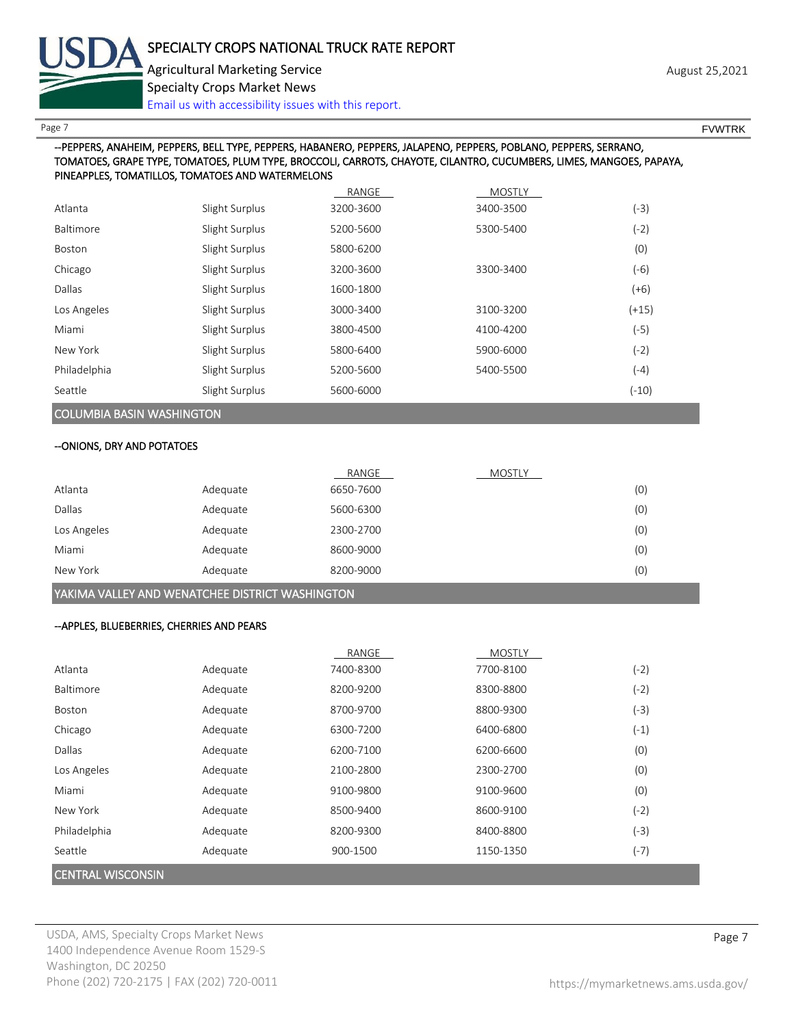

Page 7 FOUNTRK And the set of the set of the set of the set of the set of the set of the set of the set of the set of the set of the set of the set of the set of the set of the set of the set of the set of the set of the s

### --PEPPERS, ANAHEIM, PEPPERS, BELL TYPE, PEPPERS, HABANERO, PEPPERS, JALAPENO, PEPPERS, POBLANO, PEPPERS, SERRANO, TOMATOES, GRAPE TYPE, TOMATOES, PLUM TYPE, BROCCOLI, CARROTS, CHAYOTE, CILANTRO, CUCUMBERS, LIMES, MANGOES, PAPAYA, PINEAPPLES, TOMATILLOS, TOMATOES AND WATERMELONS

|              |                | RANGE     | <b>MOSTLY</b> |         |
|--------------|----------------|-----------|---------------|---------|
| Atlanta      | Slight Surplus | 3200-3600 | 3400-3500     | $(-3)$  |
| Baltimore    | Slight Surplus | 5200-5600 | 5300-5400     | $(-2)$  |
| Boston       | Slight Surplus | 5800-6200 |               | (0)     |
| Chicago      | Slight Surplus | 3200-3600 | 3300-3400     | $(-6)$  |
| Dallas       | Slight Surplus | 1600-1800 |               | $(+6)$  |
| Los Angeles  | Slight Surplus | 3000-3400 | 3100-3200     | $(+15)$ |
| Miami        | Slight Surplus | 3800-4500 | 4100-4200     | $(-5)$  |
| New York     | Slight Surplus | 5800-6400 | 5900-6000     | $(-2)$  |
| Philadelphia | Slight Surplus | 5200-5600 | 5400-5500     | $(-4)$  |
| Seattle      | Slight Surplus | 5600-6000 |               | $(-10)$ |
|              |                |           |               |         |

### COLUMBIA BASIN WASHINGTON

### --ONIONS, DRY AND POTATOES

|             |          | RANGE     | <b>MOSTLY</b> |     |
|-------------|----------|-----------|---------------|-----|
| Atlanta     | Adequate | 6650-7600 |               | (0) |
| Dallas      | Adequate | 5600-6300 |               | (0) |
| Los Angeles | Adequate | 2300-2700 |               | (0) |
| Miami       | Adequate | 8600-9000 |               | (0) |
| New York    | Adequate | 8200-9000 |               | (0) |

### YAKIMA VALLEY AND WENATCHEE DISTRICT WASHINGTON

### --APPLES, BLUEBERRIES, CHERRIES AND PEARS

|                          |          | RANGE     | <b>MOSTLY</b> |        |
|--------------------------|----------|-----------|---------------|--------|
| Atlanta                  | Adequate | 7400-8300 | 7700-8100     | $(-2)$ |
| Baltimore                | Adequate | 8200-9200 | 8300-8800     | $(-2)$ |
| Boston                   | Adequate | 8700-9700 | 8800-9300     | $(-3)$ |
| Chicago                  | Adequate | 6300-7200 | 6400-6800     | $(-1)$ |
| Dallas                   | Adequate | 6200-7100 | 6200-6600     | (0)    |
| Los Angeles              | Adequate | 2100-2800 | 2300-2700     | (0)    |
| Miami                    | Adequate | 9100-9800 | 9100-9600     | (0)    |
| New York                 | Adequate | 8500-9400 | 8600-9100     | $(-2)$ |
| Philadelphia             | Adequate | 8200-9300 | 8400-8800     | $(-3)$ |
| Seattle                  | Adequate | 900-1500  | 1150-1350     | $(-7)$ |
| <b>CENTRAL WISCONSIN</b> |          |           |               |        |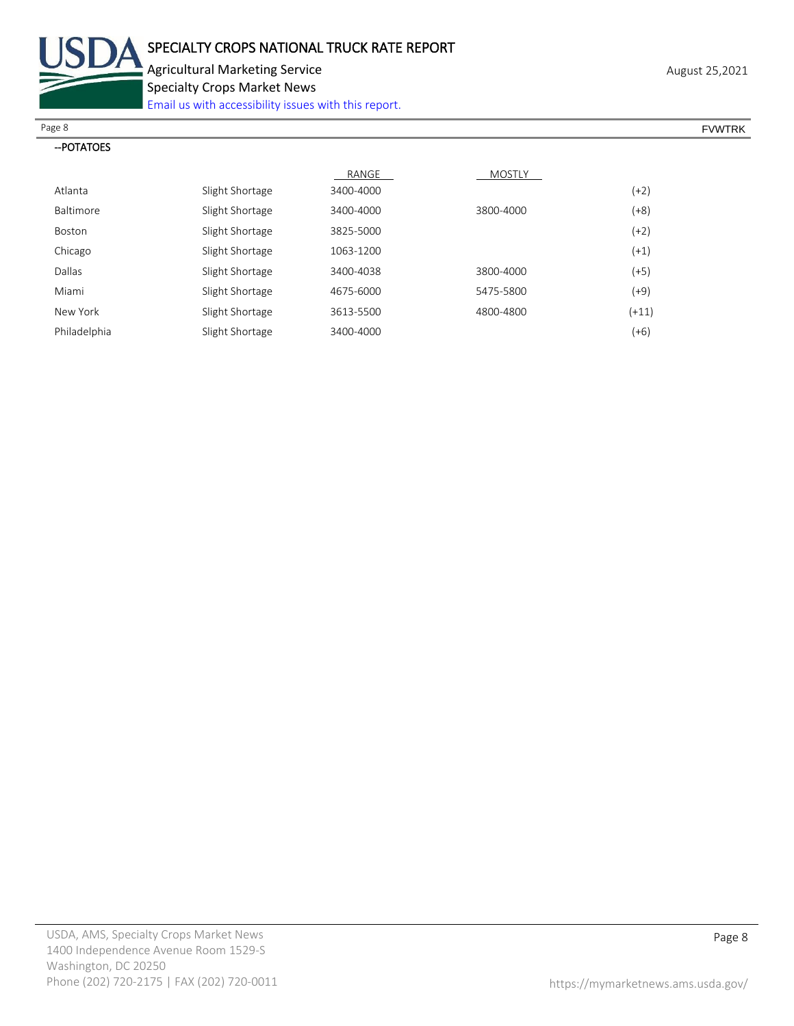

Agricultural Marketing Service **August 25,2021** August 25,2021

Specialty Crops Market News

[Email us with accessibility issues with this report.](mailto:mars@ams.usda.gov?subject=508%20Inquiry/Report)

| Page 8                                                                                         | <b>FVWTRK</b> |
|------------------------------------------------------------------------------------------------|---------------|
| -- POTATOES<br>the contract of the contract of the contract of the contract of the contract of |               |
|                                                                                                |               |

| ОТАТС |
|-------|
|-------|

|                  |                 | RANGE     | <b>MOSTLY</b> |         |
|------------------|-----------------|-----------|---------------|---------|
| Atlanta          | Slight Shortage | 3400-4000 |               | $(+2)$  |
| <b>Baltimore</b> | Slight Shortage | 3400-4000 | 3800-4000     | $(+8)$  |
| Boston           | Slight Shortage | 3825-5000 |               | $(+2)$  |
| Chicago          | Slight Shortage | 1063-1200 |               | $(+1)$  |
| Dallas           | Slight Shortage | 3400-4038 | 3800-4000     | $(+5)$  |
| Miami            | Slight Shortage | 4675-6000 | 5475-5800     | $(+9)$  |
| New York         | Slight Shortage | 3613-5500 | 4800-4800     | $(+11)$ |
| Philadelphia     | Slight Shortage | 3400-4000 |               | $(+6)$  |